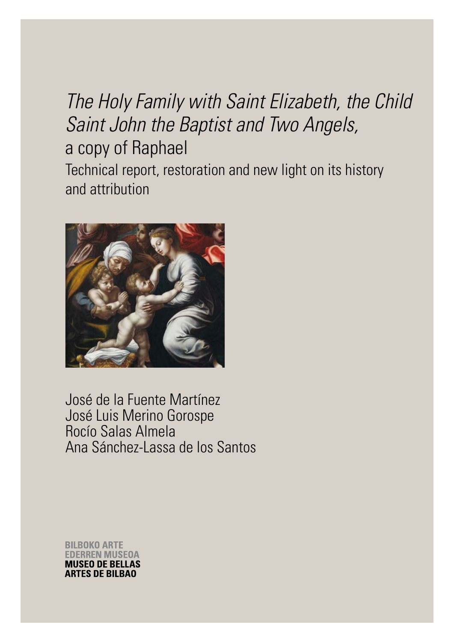# *The Holy Family with Saint Elizabeth, the Child Saint John the Baptist and Two Angels,* a copy of Raphael Technical report, restoration and new light on its history and attribution



José de la Fuente Martínez José Luis Merino Gorospe Rocío Salas Almela Ana Sánchez-Lassa de los Santos

**BILBOKO ARTE** ERREN MUSEOA **MUSEO DE BELLAS ARTES DE BILBAO**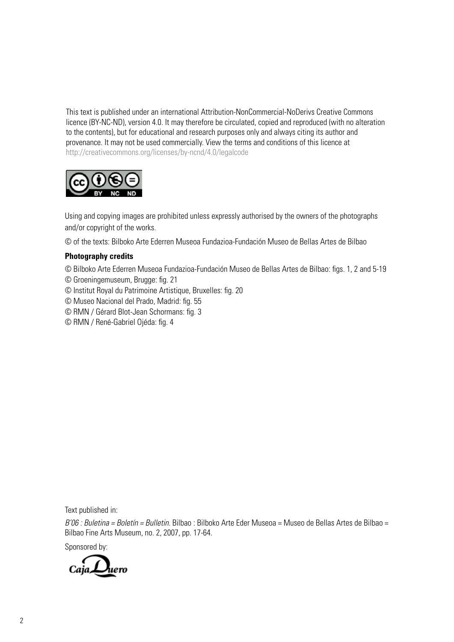This text is published under an international Attribution-NonCommercial-NoDerivs Creative Commons licence (BY-NC-ND), version 4.0. It may therefore be circulated, copied and reproduced (with no alteration to the contents), but for educational and research purposes only and always citing its author and provenance. It may not be used commercially. View the terms and conditions of this licence at http://creativecommons.org/licenses/by-ncnd/4.0/legalcode



Using and copying images are prohibited unless expressly authorised by the owners of the photographs and/or copyright of the works.

© of the texts: Bilboko Arte Ederren Museoa Fundazioa-Fundación Museo de Bellas Artes de Bilbao

### **Photography credits**

© Bilboko Arte Ederren Museoa Fundazioa-Fundación Museo de Bellas Artes de Bilbao: figs. 1, 2 and 5-19

- © Groeningemuseum, Brugge: fig. 21
- © Institut Royal du Patrimoine Artistique, Bruxelles: fig. 20
- © Museo Nacional del Prado, Madrid: fig. 55
- © RMN / Gérard Blot-Jean Schormans: fig. 3
- © RMN / René-Gabriel Ojéda: fig. 4

Text published in:

*B'06 : Buletina = Boletín = Bulletin.* Bilbao : Bilboko Arte Eder Museoa = Museo de Bellas Artes de Bilbao = Bilbao Fine Arts Museum, no. 2, 2007, pp. 17-64.

Sponsored by:

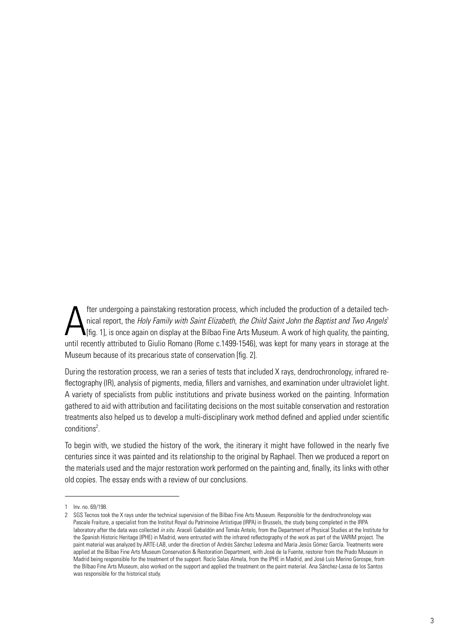A fter undergoing a painstaking restoration process, which included the production of a detailed technical report, the *Holy Family with Saint Elizabeth, the Child Saint John the Baptist and Two Angels*<sup>1</sup>  $\blacksquare$ [fig. 1], is once again on display at the Bilbao Fine Arts Museum. A work of high quality, the painting, until recently attributed to Giulio Romano (Rome c.1499-1546), was kept for many years in storage at the Museum because of its precarious state of conservation [fig. 2].

During the restoration process, we ran a series of tests that included X rays, dendrochronology, infrared reflectography (IR), analysis of pigments, media, fillers and varnishes, and examination under ultraviolet light. A variety of specialists from public institutions and private business worked on the painting. Information gathered to aid with attribution and facilitating decisions on the most suitable conservation and restoration treatments also helped us to develop a multi-disciplinary work method defined and applied under scientific conditions<sup>2</sup>.

To begin with, we studied the history of the work, the itinerary it might have followed in the nearly five centuries since it was painted and its relationship to the original by Raphael. Then we produced a report on the materials used and the major restoration work performed on the painting and, finally, its links with other old copies. The essay ends with a review of our conclusions.

<sup>1</sup> Inv. no. 69/198.

<sup>2</sup> SGS Tecnos took the X rays under the technical supervision of the Bilbao Fine Arts Museum. Responsible for the dendrochronology was Pascale Fraiture, a specialist from the Institut Royal du Patrimoine Artistique (IRPA) in Brussels, the study being completed in the IRPA laboratory after the data was collected *in situ*. Araceli Gabaldón and Tomás Antelo, from the Department of Physical Studies at the Institute for the Spanish Historic Heritage (IPHE) in Madrid, were entrusted with the infrared reflectography of the work as part of the VARIM project. The paint material was analyzed by ARTE-LAB, under the direction of Andrés Sánchez Ledesma and María Jesús Gómez García. Treatments were applied at the Bilbao Fine Arts Museum Conservation & Restoration Department, with José de la Fuente, restorer from the Prado Museum in Madrid being responsible for the treatment of the support. Rocío Salas Almela, from the IPHE in Madrid, and José Luis Merino Gorospe, from the Bilbao Fine Arts Museum, also worked on the support and applied the treatment on the paint material. Ana Sánchez-Lassa de los Santos was responsible for the historical study.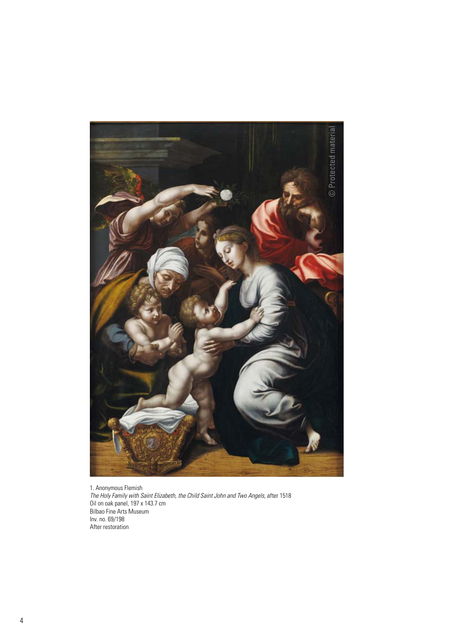

1. Anonymous Flemish *The Holy Family with Saint Elizabeth, the Child Saint John and Two Angels,* after 1518 Oil on oak panel, 197 x 143.7 cm Bilbao Fine Arts Museum Inv. no. 69/198 After restoration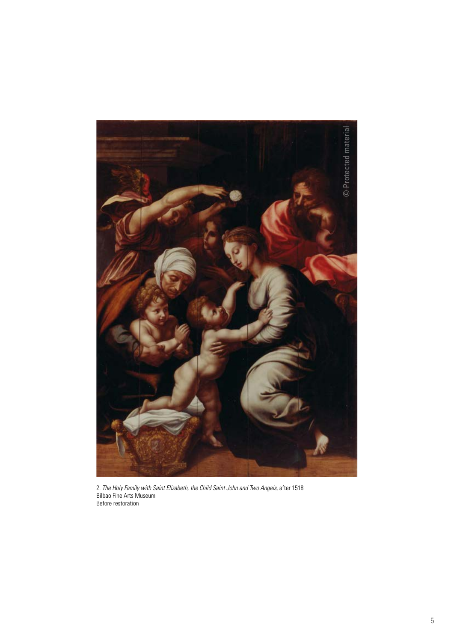

2. *The Holy Family with Saint Elizabeth, the Child Saint John and Two Angels, after 1518* Bilbao Fine Arts Museum Before restoration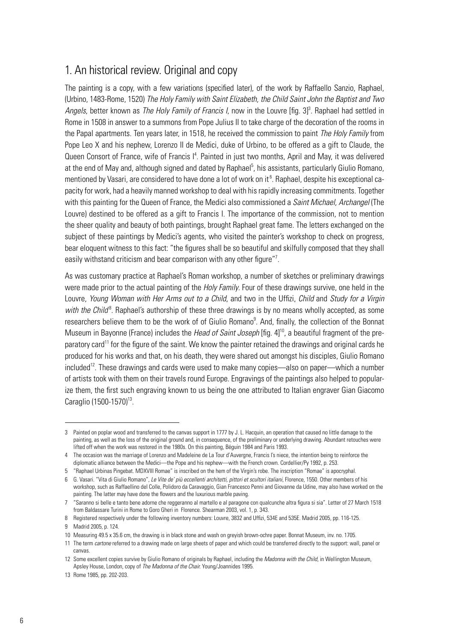# 1. An historical review. Original and copy

The painting is a copy, with a few variations (specified later), of the work by Raffaello Sanzio, Raphael, (Urbino, 1483-Rome, 1520) *The Holy Family with Saint Elizabeth, the Child Saint John the Baptist and Two*  Angels, better known as *The Holy Family of Francis I*, now in the Louvre [fig. 3]<sup>3</sup>. Raphael had settled in Rome in 1508 in answer to a summons from Pope Julius II to take charge of the decoration of the rooms in the Papal apartments. Ten years later, in 1518, he received the commission to paint *The Holy Family* from Pope Leo X and his nephew, Lorenzo II de Medici, duke of Urbino, to be offered as a gift to Claude, the Queen Consort of France, wife of Francis I<sup>4</sup>. Painted in just two months, April and May, it was delivered at the end of May and, although signed and dated by Raphael<sup>5</sup>, his assistants, particularly Giulio Romano, mentioned by Vasari, are considered to have done a lot of work on it  $^6$ . Raphael, despite his exceptional capacity for work, had a heavily manned workshop to deal with his rapidly increasing commitments. Together with this painting for the Queen of France, the Medici also commissioned a *Saint Michael, Archangel* (The Louvre) destined to be offered as a gift to Francis I. The importance of the commission, not to mention the sheer quality and beauty of both paintings, brought Raphael great fame. The letters exchanged on the subject of these paintings by Medici's agents, who visited the painter's workshop to check on progress, bear eloquent witness to this fact: "the figures shall be so beautiful and skilfully composed that they shall easily withstand criticism and bear comparison with any other figure"<sup>7</sup>.

As was customary practice at Raphael's Roman workshop, a number of sketches or preliminary drawings were made prior to the actual painting of the *Holy Family*. Four of these drawings survive, one held in the Louvre, *Young Woman with Her Arms out to a Child*, and two in the Uffizi, *Child* and *Study for a Virgin*  with the Child<sup>8</sup>. Raphael's authorship of these three drawings is by no means wholly accepted, as some researchers believe them to be the work of of Giulio Romano<sup>9</sup>. And, finally, the collection of the Bonnat Museum in Bayonne (France) includes the *Head of Saint Joseph* [fig. 4]<sup>10</sup>, a beautiful fragment of the preparatory card<sup>11</sup> for the figure of the saint. We know the painter retained the drawings and original cards he produced for his works and that, on his death, they were shared out amongst his disciples, Giulio Romano included<sup>12</sup>. These drawings and cards were used to make many copies—also on paper—which a number of artists took with them on their travels round Europe. Engravings of the paintings also helped to popularize them, the first such engraving known to us being the one attributed to Italian engraver Gian Giacomo Caraglio (1500-1570)<sup>13</sup>.

<sup>3</sup> Painted on poplar wood and transferred to the canvas support in 1777 by J. L. Hacquin, an operation that caused no little damage to the painting, as well as the loss of the original ground and, in consequence, of the preliminary or underlying drawing. Abundant retouches were lifted off when the work was restored in the 1980s. On this painting, Béguin 1984 and Paris 1993.

<sup>4</sup> The occasion was the marriage of Lorenzo and Madeleine de La Tour d'Auvergne, Francis I's niece, the intention being to reinforce the diplomatic alliance between the Medici—the Pope and his nephew—with the French crown. Cordellier/Py 1992, p. 253.

<sup>5 &</sup>quot;Raphael Urbinas Pingebat. MDXVIII Romae" is inscribed on the hem of the Virgin's robe. The inscription "Romae" is apocryphal.

<sup>6</sup> G. Vasari. "Vita di Giulio Romano", *Le Vite de' più eccellenti architetti, pittori et scultori italiani*, Florence, 1550. Other members of his workshop, such as Raffaellino del Colle, Polidoro da Caravaggio, Gian Francesco Penni and Giovanne da Udine, may also have worked on the painting. The latter may have done the flowers and the luxurious marble paving.

<sup>7 &</sup>quot;Saranno si belle e tanto bene adorne che reggeranno al martello e al paragone con qualcunche altra figura si sia". Letter of 27 March 1518 from Baldassare Turini in Rome to Goro Gheri in Florence. Shearman 2003, vol. 1, p. 343.

<sup>8</sup> Registered respectively under the following inventory numbers: Louvre, 3832 and Uffizi, 534E and 535E. Madrid 2005, pp. 116-125. 9 Madrid 2005, p. 124.

<sup>10</sup> Measuring 49.5 x 35.6 cm, the drawing is in black stone and wash on greyish brown-ochre paper. Bonnat Museum, inv. no. 1705.

<sup>11</sup> The term *cartone* referred to a drawing made on large sheets of paper and which could be transferred directly to the support: wall, panel or canvas.

<sup>12</sup> Some excellent copies survive by Giulio Romano of originals by Raphael, including the *Madonna with the Child*, in Wellington Museum, Apsley House, London, copy of *The Madonna of the Chair.* Young/Joannides 1995.

<sup>13</sup> Rome 1985, pp. 202-203.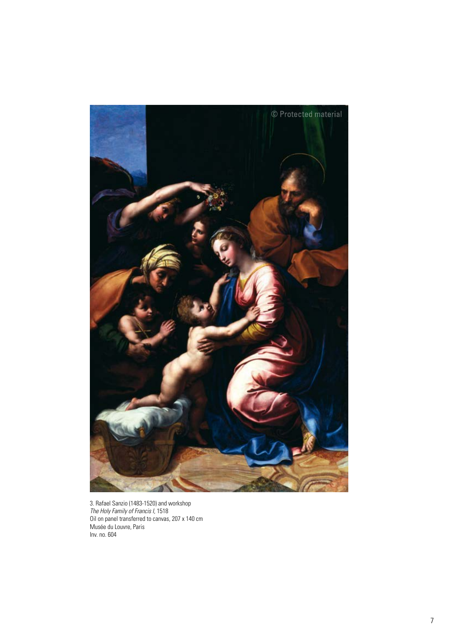

3. Rafael Sanzio (1483-1520) and workshop *The Holy Family of Francis I*, 1518 Oil on panel transferred to canvas, 207 x 140 cm Musée du Louvre, Paris Inv. no. 604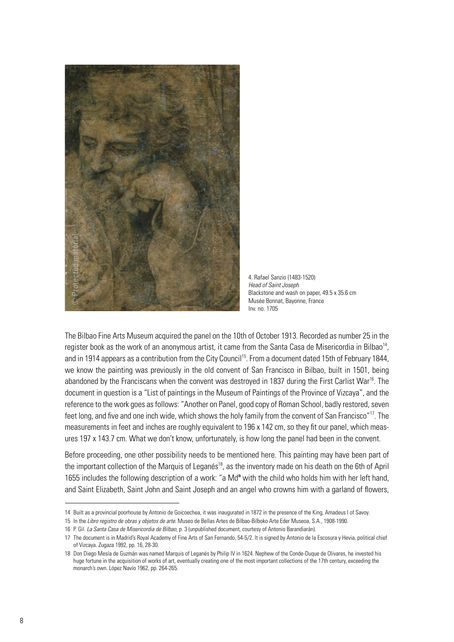

4. Rafael Sanzio (1483-1520) *Head of Saint Joseph* Blackstone and wash on paper, 49.5 x 35.6 cm Musée Bonnat, Bayonne, France Inv. no. 1705

The Bilbao Fine Arts Museum acquired the panel on the 10th of October 1913. Recorded as number 25 in the register book as the work of an anonymous artist, it came from the Santa Casa de Misericordia in Bilbao<sup>14</sup>, and in 1914 appears as a contribution from the City Council<sup>15</sup>. From a document dated 15th of February 1844, we know the painting was previously in the old convent of San Francisco in Bilbao, built in 1501, being abandoned by the Franciscans when the convent was destroyed in 1837 during the First Carlist War<sup>16</sup>. The document in question is a "List of paintings in the Museum of Paintings of the Province of Vizcaya", and the reference to the work goes as follows: "Another on Panel, good copy of Roman School, badly restored, seven feet long, and five and one inch wide, which shows the holy family from the convent of San Francisco"<sup>17</sup>. The measurements in feet and inches are roughly equivalent to 196 x 142 cm, so they fit our panel, which measures 197 x 143.7 cm. What we don't know, unfortunately, is how long the panel had been in the convent.

Before proceeding, one other possibility needs to be mentioned here. This painting may have been part of the important collection of the Marquis of Leganés<sup>18</sup>, as the inventory made on his death on the 6th of April 1655 includes the following description of a work: "a Md<sup>a</sup> with the child who holds him with her left hand, and Saint Elizabeth, Saint John and Saint Joseph and an angel who crowns him with a garland of flowers,

<sup>14</sup> Built as a provincial poorhouse by Antonio de Goicoechea, it was inaugurated in 1872 in the presence of the King, Amadeus I of Savoy.

<sup>15</sup> In the *Libro registro de obras y objetos de arte*. Museo de Bellas Artes de Bilbao-Bilboko Arte Eder Museoa, S.A., 1908-1990.

<sup>16</sup> P. Gil. *La Santa Casa de Misericordia de Bilbao*, p. 3 (unpublished document, courtesy of Antonio Barandiarán).

<sup>17</sup> The document is in Madrid's Royal Academy of Fine Arts of San Fernando, 54-5/2. It is signed by Antonio de la Escosura y Hevia, political chief of Vizcaya. Zugaza 1992, pp. 16, 28-30.

<sup>18</sup> Don Diego Mesía de Guzmán was named Marquis of Leganés by Philip IV in 1624. Nephew of the Conde-Duque de Olivares, he invested his huge fortune in the acquisition of works of art, eventually creating one of the most important collections of the 17th century, exceeding the monarch's own. López Navío 1962, pp. 264-265.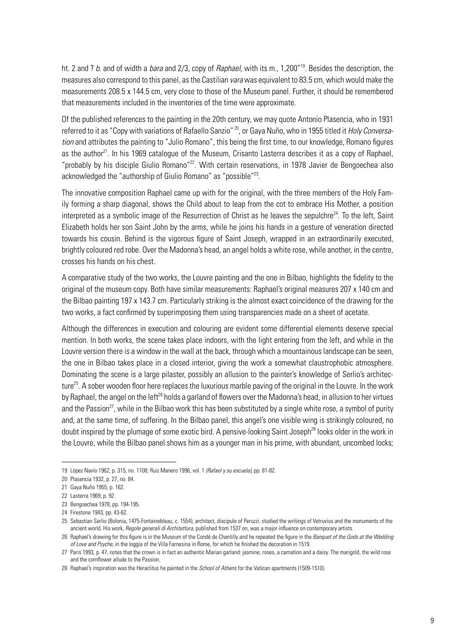ht. 2 and ? *b*. and of width a *bara* and 2/3, copy of *Raphael*, with its m., 1,200"19. Besides the description, the measures also correspond to this panel, as the Castilian *vara* was equivalent to 83.5 cm, which would make the measurements 208.5 x 144.5 cm, very close to those of the Museum panel. Further, it should be remembered that measurements included in the inventories of the time were approximate.

Of the published references to the painting in the 20th century, we may quote Antonio Plasencia, who in 1931 referred to it as "Copy with variations of Rafaello Sanzio" 20, or Gaya Nuño, who in 1955 titled it *Holy Conversation* and attributes the painting to "Julio Romano", this being the first time, to our knowledge, Romano figures as the author<sup>21</sup>. In his 1969 catalogue of the Museum, Crisanto Lasterra describes it as a copy of Raphael, "probably by his disciple Giulio Romano"22. With certain reservations, in 1978 Javier de Bengoechea also acknowledged the "authorship of Giulio Romano" as "possible"<sup>23</sup>.

The innovative composition Raphael came up with for the original, with the three members of the Holy Family forming a sharp diagonal, shows the Child about to leap from the cot to embrace His Mother, a position interpreted as a symbolic image of the Resurrection of Christ as he leaves the sepulchre<sup>24</sup>. To the left, Saint Elizabeth holds her son Saint John by the arms, while he joins his hands in a gesture of veneration directed towards his cousin. Behind is the vigorous figure of Saint Joseph, wrapped in an extraordinarily executed, brightly coloured red robe. Over the Madonna's head, an angel holds a white rose, while another, in the centre, crosses his hands on his chest.

A comparative study of the two works, the Louvre painting and the one in Bilbao, highlights the fidelity to the original of the museum copy. Both have similar measurements: Raphael's original measures 207 x 140 cm and the Bilbao painting 197 x 143.7 cm. Particularly striking is the almost exact coincidence of the drawing for the two works, a fact confirmed by superimposing them using transparencies made on a sheet of acetate.

Although the differences in execution and colouring are evident some differential elements deserve special mention. In both works, the scene takes place indoors, with the light entering from the left, and while in the Louvre version there is a window in the wall at the back, through which a mountainous landscape can be seen, the one in Bilbao takes place in a closed interior, giving the work a somewhat claustrophobic atmosphere. Dominating the scene is a large pilaster, possibly an allusion to the painter's knowledge of Serlio's architecture<sup>25</sup>. A sober wooden floor here replaces the luxurious marble paving of the original in the Louvre. In the work by Raphael, the angel on the left<sup>26</sup> holds a garland of flowers over the Madonna's head, in allusion to her virtues and the Passion<sup>27</sup>, while in the Bilbao work this has been substituted by a single white rose, a symbol of purity and, at the same time, of suffering. In the Bilbao panel, this angel's one visible wing is strikingly coloured, no doubt inspired by the plumage of some exotic bird. A pensive-looking Saint Joseph<sup>28</sup> looks older in the work in the Louvre, while the Bilbao panel shows him as a younger man in his prime, with abundant, uncombed locks;

<sup>19</sup> López Navío 1962, p. 315, no. 1108; Ruiz Manero 1996, vol. 1 *(Rafael y su escuela)*, pp. 81-82.

<sup>20</sup> Plasencia 1932, p. 27, no. 84.

<sup>21</sup> Gaya Nuño 1955, p. 162.

<sup>22</sup> Lasterra 1969, p. 92.

<sup>23</sup> Bengoechea 1978, pp. 194-195.

<sup>24</sup> Firestone 1943, pp. 43-62.

<sup>25</sup> Sebastian Serlio (Bolonia, 1475-Fontainebleau, c. 1554), architect, discipule of Peruzzi, studied the writings of Vetruvius and the monuments of the ancient world. His work, *Regole generali di Architettura*, published from 1537 on, was a major influence on contemporary artists.

<sup>26</sup> Raphael's drawing for this figure is in the Museum of the Condé de Chantilly and he repeated the figure in the *Banquet of the Gods at the Wedding of Love and Psyche*, in the loggia of the Villa Farnesina in Rome, for which he finished the decoration in 1519.

<sup>27</sup> Paris 1993, p. 47, notes that the crown is in fact an authentic Marian garland: jasmine, roses, a carnation and a daisy. The marigold, the wild rose and the cornflower allude to the Passion.

<sup>28</sup> Raphael's inspiration was the Heraclitus he painted in the *School of Athens* for the Vatican apartments (1509-1510).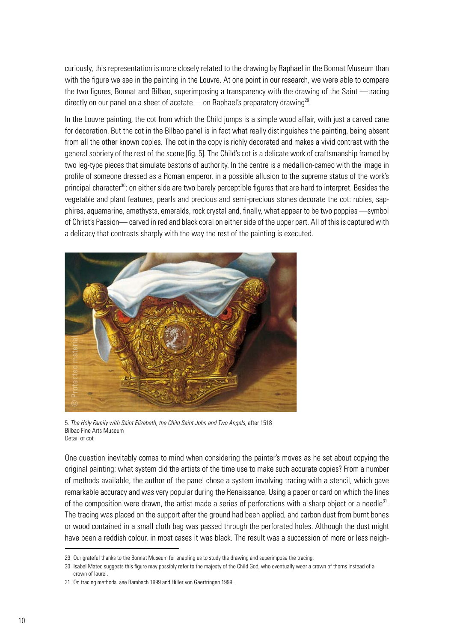curiously, this representation is more closely related to the drawing by Raphael in the Bonnat Museum than with the figure we see in the painting in the Louvre. At one point in our research, we were able to compare the two figures, Bonnat and Bilbao, superimposing a transparency with the drawing of the Saint —tracing directly on our panel on a sheet of acetate— on Raphael's preparatory drawing<sup>29</sup>.

In the Louvre painting, the cot from which the Child jumps is a simple wood affair, with just a carved cane for decoration. But the cot in the Bilbao panel is in fact what really distinguishes the painting, being absent from all the other known copies. The cot in the copy is richly decorated and makes a vivid contrast with the general sobriety of the rest of the scene [fig. 5]. The Child's cot is a delicate work of craftsmanship framed by two leg-type pieces that simulate bastons of authority. In the centre is a medallion-cameo with the image in profile of someone dressed as a Roman emperor, in a possible allusion to the supreme status of the work's principal character<sup>30</sup>; on either side are two barely perceptible figures that are hard to interpret. Besides the vegetable and plant features, pearls and precious and semi-precious stones decorate the cot: rubies, sapphires, aquamarine, amethysts, emeralds, rock crystal and, finally, what appear to be two poppies —symbol of Christ's Passion— carved in red and black coral on either side of the upper part. All of this is captured with a delicacy that contrasts sharply with the way the rest of the painting is executed.



5. *The Holy Family with Saint Elizabeth, the Child Saint John and Two Angels,* after 1518 Bilbao Fine Arts Museum Detail of cot

One question inevitably comes to mind when considering the painter's moves as he set about copying the original painting: what system did the artists of the time use to make such accurate copies? From a number of methods available, the author of the panel chose a system involving tracing with a stencil, which gave remarkable accuracy and was very popular during the Renaissance. Using a paper or card on which the lines of the composition were drawn, the artist made a series of perforations with a sharp object or a needle $31$ . The tracing was placed on the support after the ground had been applied, and carbon dust from burnt bones or wood contained in a small cloth bag was passed through the perforated holes. Although the dust might have been a reddish colour, in most cases it was black. The result was a succession of more or less neigh-

<sup>29</sup> Our grateful thanks to the Bonnat Museum for enabling us to study the drawing and superimpose the tracing.

<sup>30</sup> Isabel Mateo suggests this figure may possibly refer to the majesty of the Child God, who eventually wear a crown of thorns instead of a crown of laurel.

<sup>31</sup> On tracing methods, see Bambach 1999 and Hiller von Gaertringen 1999.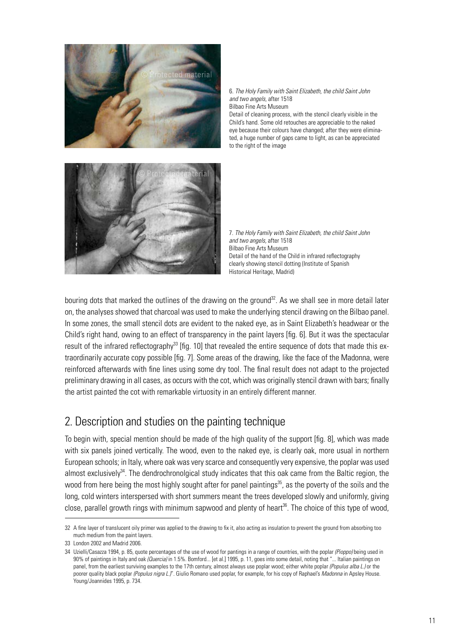

6. *The Holy Family with Saint Elizabeth, the child Saint John and two angels,* after 1518 Bilbao Fine Arts Museum Detail of cleaning process, with the stencil clearly visible in the Child's hand. Some old retouches are appreciable to the naked

eye because their colours have changed; after they were eliminated, a huge number of gaps came to light, as can be appreciated to the right of the image

7. *The Holy Family with Saint Elizabeth, the child Saint John and two angels,* after 1518 Bilbao Fine Arts Museum Detail of the hand of the Child in infrared reflectography clearly showing stencil dotting (Institute of Spanish Historical Heritage, Madrid)

bouring dots that marked the outlines of the drawing on the ground<sup>32</sup>. As we shall see in more detail later on, the analyses showed that charcoal was used to make the underlying stencil drawing on the Bilbao panel. In some zones, the small stencil dots are evident to the naked eye, as in Saint Elizabeth's headwear or the Child's right hand, owing to an effect of transparency in the paint layers [fig. 6]. But it was the spectacular result of the infrared reflectography<sup>33</sup> [fig. 10] that revealed the entire sequence of dots that made this extraordinarily accurate copy possible [fig. 7]. Some areas of the drawing, like the face of the Madonna, were reinforced afterwards with fine lines using some dry tool. The final result does not adapt to the projected preliminary drawing in all cases, as occurs with the cot, which was originally stencil drawn with bars; finally the artist painted the cot with remarkable virtuosity in an entirely different manner.

# 2. Description and studies on the painting technique

To begin with, special mention should be made of the high quality of the support [fig. 8], which was made with six panels joined vertically. The wood, even to the naked eye, is clearly oak, more usual in northern European schools; in Italy, where oak was very scarce and consequently very expensive, the poplar was used almost exclusively<sup>34</sup>. The dendrochronolgical study indicates that this oak came from the Baltic region, the wood from here being the most highly sought after for panel paintings<sup>35</sup>, as the poverty of the soils and the long, cold winters interspersed with short summers meant the trees developed slowly and uniformly, giving close, parallel growth rings with minimum sapwood and plenty of heart<sup>36</sup>. The choice of this type of wood,

<sup>32</sup> A fine layer of translucent oily primer was applied to the drawing to fix it, also acting as insulation to prevent the ground from absorbing too much medium from the paint layers.

<sup>33</sup> London 2002 and Madrid 2006.

<sup>34</sup> Uzielli/Casazza 1994, p. 85, quote percentages of the use of wood for pantings in a range of countries, with the poplar *(Pioppo)* being used in 90% of paintings in Italy and oak *(Quercia)* in 1.5%. Bomford... [et al.] 1995, p. 11, goes into some detail, noting that "... Italian paintings on panel, from the earliest surviving examples to the 17th century, almost always use poplar wood; either white poplar *(Populus alba L.)* or the poorer quality black poplar *(Populus nigra L.)*". Giulio Romano used poplar, for example, for his copy of Raphael's *Madonna* in Apsley House. Young/Joannides 1995, p. 734.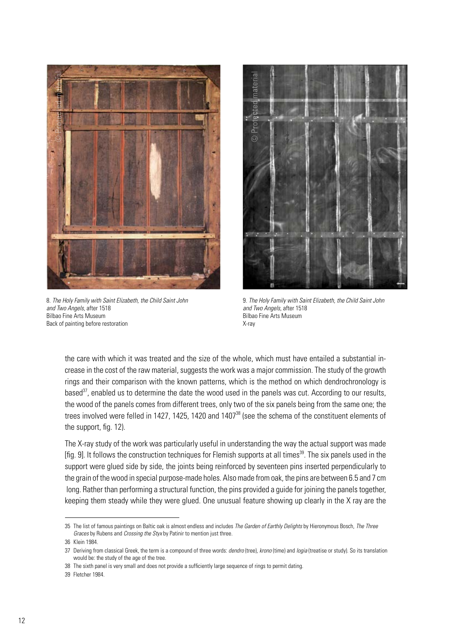

8. *The Holy Family with Saint Elizabeth, the Child Saint John and Two Angels,* after 1518 Bilbao Fine Arts Museum Back of painting before restoration



9. *The Holy Family with Saint Elizabeth, the Child Saint John and Two Angels,* after 1518 Bilbao Fine Arts Museum X-ray

the care with which it was treated and the size of the whole, which must have entailed a substantial increase in the cost of the raw material, suggests the work was a major commission. The study of the growth rings and their comparison with the known patterns, which is the method on which dendrochronology is based $37$ , enabled us to determine the date the wood used in the panels was cut. According to our results, the wood of the panels comes from different trees, only two of the six panels being from the same one; the trees involved were felled in 1427, 1425, 1420 and 1407<sup>38</sup> (see the schema of the constituent elements of the support, fig. 12).

The X-ray study of the work was particularly useful in understanding the way the actual support was made [fig. 9]. It follows the construction techniques for Flemish supports at all times<sup>39</sup>. The six panels used in the support were glued side by side, the joints being reinforced by seventeen pins inserted perpendicularly to the grain of the wood in special purpose-made holes. Also made from oak, the pins are between 6.5 and 7 cm long. Rather than performing a structural function, the pins provided a guide for joining the panels together, keeping them steady while they were glued. One unusual feature showing up clearly in the X ray are the

<sup>35</sup> The list of famous paintings on Baltic oak is almost endless and includes *The Garden of Earthly Delights* by Hieronymous Bosch, *The Three Graces* by Rubens and *Crossing the Styx* by Patinir to mention just three.

<sup>36</sup> Klein 1984.

<sup>37</sup> Deriving from classical Greek, the term is a compound of three words: *dendro* (tree), *krono* (time) and *logia* (treatise or study). So its translation would be: the study of the age of the tree.

<sup>38</sup> The sixth panel is very small and does not provide a sufficiently large sequence of rings to permit dating.

<sup>39</sup> Fletcher 1984*.*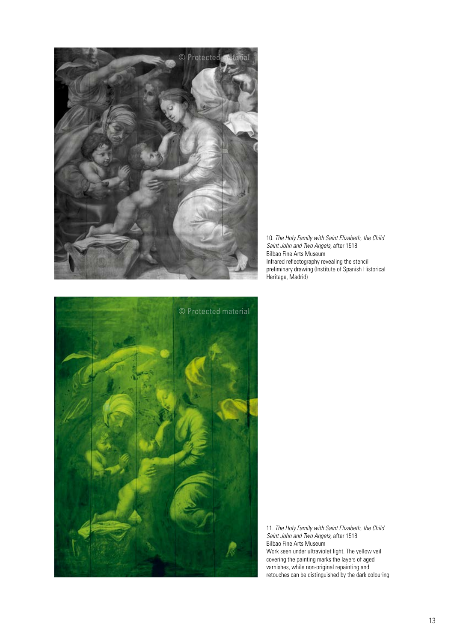

10. *The Holy Family with Saint Elizabeth, the Child Saint John and Two Angels,* after 1518 Bilbao Fine Arts Museum Infrared reflectography revealing the stencil preliminary drawing (Institute of Spanish Historical Heritage, Madrid)



11. *The Holy Family with Saint Elizabeth, the Child Saint John and Two Angels,* after 1518 Bilbao Fine Arts Museum Work seen under ultraviolet light. The yellow veil covering the painting marks the layers of aged varnishes, while non-original repainting and retouches can be distinguished by the dark colouring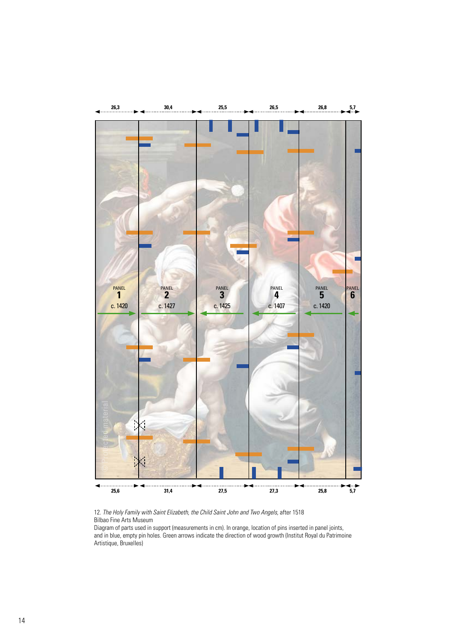

12. The Holy Family with Saint Elizabeth, the Child Saint John and Two Angels, after 1518 Bilbao Fine Arts Museum

Diagram of parts used in support (measurements in cm). In orange, location of pins inserted in panel joints, and in blue, empty pin holes. Green arrows indicate the direction of wood growth (Institut Royal du Patrimoine Artistique, Bruxelles)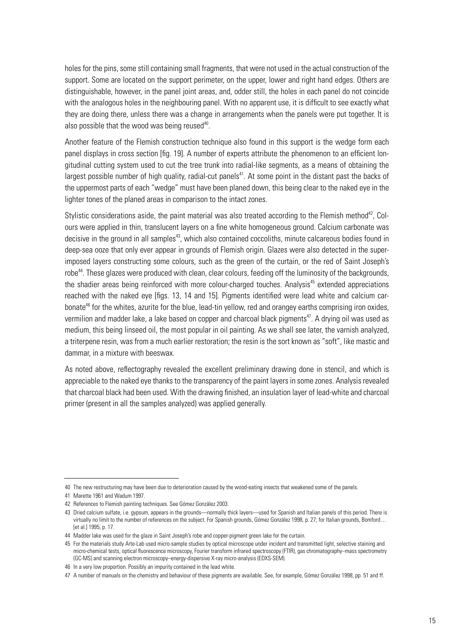holes for the pins, some still containing small fragments, that were not used in the actual construction of the support. Some are located on the support perimeter, on the upper, lower and right hand edges. Others are distinguishable, however, in the panel joint areas, and, odder still, the holes in each panel do not coincide with the analogous holes in the neighbouring panel. With no apparent use, it is difficult to see exactly what they are doing there, unless there was a change in arrangements when the panels were put together. It is also possible that the wood was being reused $40$ .

Another feature of the Flemish construction technique also found in this support is the wedge form each panel displays in cross section [fig. 19]. A number of experts attribute the phenomenon to an efficient longitudinal cutting system used to cut the tree trunk into radial-like segments, as a means of obtaining the largest possible number of high quality, radial-cut panels<sup>41</sup>. At some point in the distant past the backs of the uppermost parts of each "wedge" must have been planed down, this being clear to the naked eye in the lighter tones of the planed areas in comparison to the intact zones.

Stylistic considerations aside, the paint material was also treated according to the Flemish method<sup>42</sup>, Colours were applied in thin, translucent layers on a fine white homogeneous ground. Calcium carbonate was decisive in the ground in all samples<sup>43</sup>, which also contained coccoliths, minute calcareous bodies found in deep-sea ooze that only ever appear in grounds of Flemish origin. Glazes were also detected in the superimposed layers constructing some colours, such as the green of the curtain, or the red of Saint Joseph's robe<sup>44</sup>. These glazes were produced with clean, clear colours, feeding off the luminosity of the backgrounds, the shadier areas being reinforced with more colour-charged touches. Analysis<sup>45</sup> extended appreciations reached with the naked eye [figs. 13, 14 and 15]. Pigments identified were lead white and calcium carbonate<sup>46</sup> for the whites, azurite for the blue, lead-tin yellow, red and orangey earths comprising iron oxides, vermilion and madder lake, a lake based on copper and charcoal black pigments<sup>47</sup>. A drying oil was used as medium, this being linseed oil, the most popular in oil painting. As we shall see later, the varnish analyzed, a triterpene resin, was from a much earlier restoration; the resin is the sort known as "soft", like mastic and dammar, in a mixture with beeswax.

As noted above, reflectography revealed the excellent preliminary drawing done in stencil, and which is appreciable to the naked eye thanks to the transparency of the paint layers in some zones. Analysis revealed that charcoal black had been used. With the drawing finished, an insulation layer of lead-white and charcoal primer (present in all the samples analyzed) was applied generally.

<sup>40</sup> The new restructuring may have been due to deterioration caused by the wood-eating insects that weakened some of the panels.

<sup>41</sup> Marette 1961 and Wadum 1997.

<sup>42</sup> References to Flemish painting techniques. See Gómez González 2003*.*

<sup>43</sup> Dried calcium sulfate, i.e. gypsum, appears in the grounds—normally thick layers—used for Spanish and Italian panels of this period. There is virtually no limit to the number of references on the subject. For Spanish grounds, Gómez González 1998, p. 27; for Italian grounds, Bomford... [et al.] 1995, p. 17.

<sup>44</sup> Madder lake was used for the glaze in Saint Joseph's robe and copper-pigment green lake for the curtain.

<sup>45</sup> For the materials study Arte-Lab used micro-sample studies by optical microscope under incident and transmitted light, selective staining and micro-chemical tests, optical fluorescence microscopy, Fourier transform infrared spectroscopy (FTIR), gas chromatography–mass spectrometry (GC-MS) and scanning electron microscopy–energy-dispersive X-ray micro-analysis (EDXS-SEM).

<sup>46</sup> In a very low proportion. Possibly an impurity contained in the lead white.

<sup>47</sup> A number of manuals on the chemistry and behaviour of these pigments are available. See, for example, Gómez González 1998, pp. 51 and ff.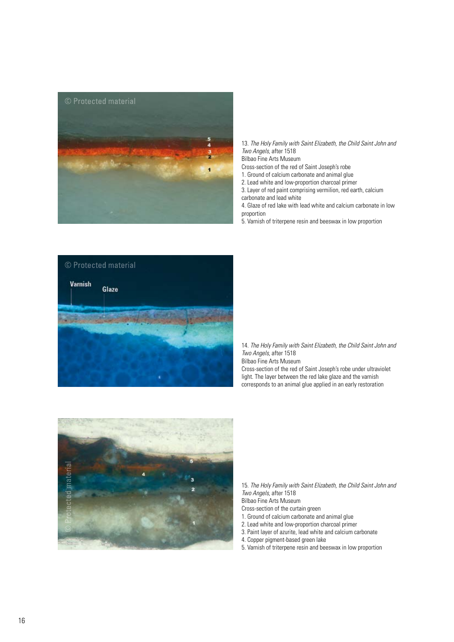

13. *The Holy Family with Saint Elizabeth, the Child Saint John and Two Angels,* after 1518

Bilbao Fine Arts Museum

- Cross-section of the red of Saint Joseph's robe
- 1. Ground of calcium carbonate and animal glue
- 2. Lead white and low-proportion charcoal primer
- 3. Layer of red paint comprising vermilion, red earth, calcium carbonate and lead white

4. Glaze of red lake with lead white and calcium carbonate in low proportion

5. Varnish of triterpene resin and beeswax in low proportion



14. *The Holy Family with Saint Elizabeth, the Child Saint John and Two Angels,* after 1518

Bilbao Fine Arts Museum

Cross-section of the red of Saint Joseph's robe under ultraviolet light. The layer between the red lake glaze and the varnish corresponds to an animal glue applied in an early restoration



15. *The Holy Family with Saint Elizabeth, the Child Saint John and Two Angels,* after 1518 Bilbao Fine Arts Museum

- Cross-section of the curtain green
- 
- 1. Ground of calcium carbonate and animal glue 2. Lead white and low-proportion charcoal primer
- 3. Paint layer of azurite, lead white and calcium carbonate
- 4. Copper pigment-based green lake
- 
- 5. Varnish of triterpene resin and beeswax in low proportion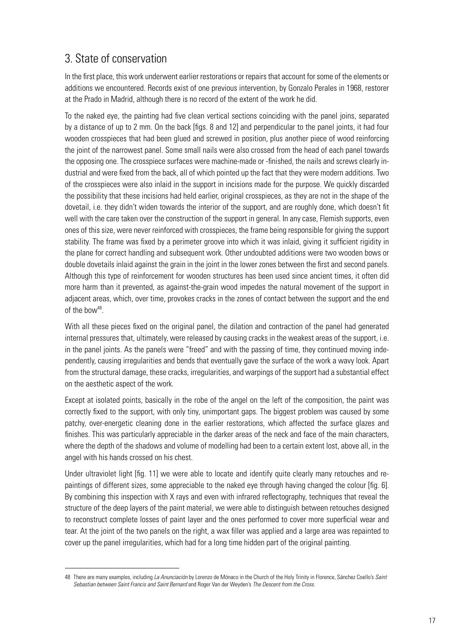# 3. State of conservation

In the first place, this work underwent earlier restorations or repairs that account for some of the elements or additions we encountered. Records exist of one previous intervention, by Gonzalo Perales in 1968, restorer at the Prado in Madrid, although there is no record of the extent of the work he did.

To the naked eye, the painting had five clean vertical sections coinciding with the panel joins, separated by a distance of up to 2 mm. On the back [figs. 8 and 12] and perpendicular to the panel joints, it had four wooden crosspieces that had been glued and screwed in position, plus another piece of wood reinforcing the joint of the narrowest panel. Some small nails were also crossed from the head of each panel towards the opposing one. The crosspiece surfaces were machine-made or -finished, the nails and screws clearly industrial and were fixed from the back, all of which pointed up the fact that they were modern additions. Two of the crosspieces were also inlaid in the support in incisions made for the purpose. We quickly discarded the possibility that these incisions had held earlier, original crosspieces, as they are not in the shape of the dovetail, i.e. they didn't widen towards the interior of the support, and are roughly done, which doesn't fit well with the care taken over the construction of the support in general. In any case, Flemish supports, even ones of this size, were never reinforced with crosspieces, the frame being responsible for giving the support stability. The frame was fixed by a perimeter groove into which it was inlaid, giving it sufficient rigidity in the plane for correct handling and subsequent work. Other undoubted additions were two wooden bows or double dovetails inlaid against the grain in the joint in the lower zones between the first and second panels. Although this type of reinforcement for wooden structures has been used since ancient times, it often did more harm than it prevented, as against-the-grain wood impedes the natural movement of the support in adjacent areas, which, over time, provokes cracks in the zones of contact between the support and the end of the bow<sup>48</sup>.

With all these pieces fixed on the original panel, the dilation and contraction of the panel had generated internal pressures that, ultimately, were released by causing cracks in the weakest areas of the support, i.e. in the panel joints. As the panels were "freed" and with the passing of time, they continued moving independently, causing irregularities and bends that eventually gave the surface of the work a wavy look. Apart from the structural damage, these cracks, irregularities, and warpings of the support had a substantial effect on the aesthetic aspect of the work.

Except at isolated points, basically in the robe of the angel on the left of the composition, the paint was correctly fixed to the support, with only tiny, unimportant gaps. The biggest problem was caused by some patchy, over-energetic cleaning done in the earlier restorations, which affected the surface glazes and finishes. This was particularly appreciable in the darker areas of the neck and face of the main characters, where the depth of the shadows and volume of modelling had been to a certain extent lost, above all, in the angel with his hands crossed on his chest.

Under ultraviolet light [fig. 11] we were able to locate and identify quite clearly many retouches and repaintings of different sizes, some appreciable to the naked eye through having changed the colour [fig. 6]. By combining this inspection with X rays and even with infrared reflectography, techniques that reveal the structure of the deep layers of the paint material, we were able to distinguish between retouches designed to reconstruct complete losses of paint layer and the ones performed to cover more superficial wear and tear. At the joint of the two panels on the right, a wax filler was applied and a large area was repainted to cover up the panel irregularities, which had for a long time hidden part of the original painting.

<sup>48</sup> There are many examples, including *La Anunciación* by Lorenzo de Mónaco in the Church of the Holy Trinity in Florence, Sánchez Coello's *Saint Sebastian between Saint Francis and Saint Bernard* and Roger Van der Weyden's *The Descent from the Cross*.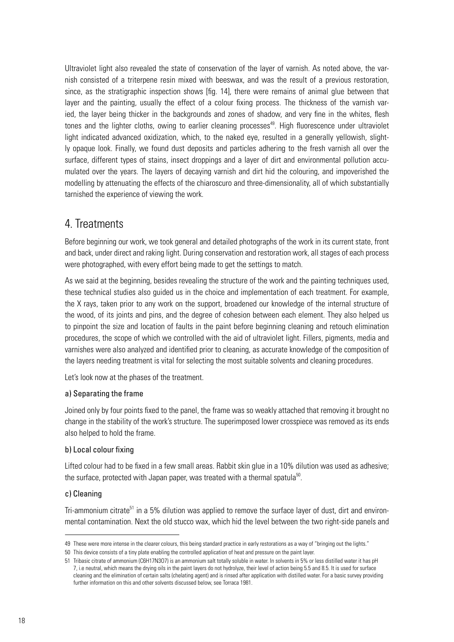Ultraviolet light also revealed the state of conservation of the layer of varnish. As noted above, the varnish consisted of a triterpene resin mixed with beeswax, and was the result of a previous restoration, since, as the stratigraphic inspection shows [fig. 14], there were remains of animal glue between that layer and the painting, usually the effect of a colour fixing process. The thickness of the varnish varied, the layer being thicker in the backgrounds and zones of shadow, and very fine in the whites, flesh tones and the lighter cloths, owing to earlier cleaning processes<sup>49</sup>. High fluorescence under ultraviolet light indicated advanced oxidization, which, to the naked eye, resulted in a generally yellowish, slightly opaque look. Finally, we found dust deposits and particles adhering to the fresh varnish all over the surface, different types of stains, insect droppings and a layer of dirt and environmental pollution accumulated over the years. The layers of decaying varnish and dirt hid the colouring, and impoverished the modelling by attenuating the effects of the chiaroscuro and three-dimensionality, all of which substantially tarnished the experience of viewing the work.

# 4. Treatments

Before beginning our work, we took general and detailed photographs of the work in its current state, front and back, under direct and raking light. During conservation and restoration work, all stages of each process were photographed, with every effort being made to get the settings to match.

As we said at the beginning, besides revealing the structure of the work and the painting techniques used, these technical studies also guided us in the choice and implementation of each treatment. For example, the X rays, taken prior to any work on the support, broadened our knowledge of the internal structure of the wood, of its joints and pins, and the degree of cohesion between each element. They also helped us to pinpoint the size and location of faults in the paint before beginning cleaning and retouch elimination procedures, the scope of which we controlled with the aid of ultraviolet light. Fillers, pigments, media and varnishes were also analyzed and identified prior to cleaning, as accurate knowledge of the composition of the layers needing treatment is vital for selecting the most suitable solvents and cleaning procedures.

Let's look now at the phases of the treatment.

# a) Separating the frame

Joined only by four points fixed to the panel, the frame was so weakly attached that removing it brought no change in the stability of the work's structure. The superimposed lower crosspiece was removed as its ends also helped to hold the frame.

# b) Local colour fixing

Lifted colour had to be fixed in a few small areas. Rabbit skin glue in a 10% dilution was used as adhesive; the surface, protected with Japan paper, was treated with a thermal spatula $50$ .

### c) Cleaning

Tri-ammonium citrate<sup>51</sup> in a 5% dilution was applied to remove the surface layer of dust, dirt and environmental contamination. Next the old stucco wax, which hid the level between the two right-side panels and

<sup>49</sup> These were more intense in the clearer colours, this being standard practice in early restorations as a way of "bringing out the lights."

<sup>50</sup> This device consists of a tiny plate enabling the controlled application of heat and pressure on the paint layer.

<sup>51</sup> Tribasic citrate of ammonium (C6H17N3O7) is an ammonium salt totally soluble in water. In solvents in 5% or less distilled water it has pH 7, i.e neutral, which means the drying oils in the paint layers do not hydrolyze, their level of action being 5.5 and 8.5. It is used for surface cleaning and the elimination of certain salts (chelating agent) and is rinsed after application with distilled water. For a basic survey providing further information on this and other solvents discussed below, see Torraca 1981.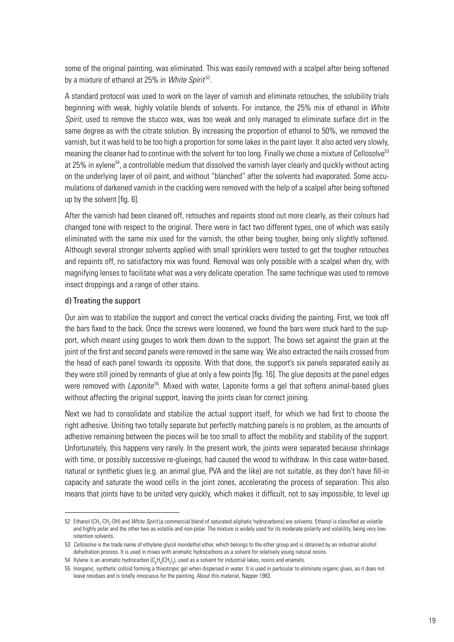some of the original painting, was eliminated. This was easily removed with a scalpel after being softened by a mixture of ethanol at 25% in *White Spirit* 52.

A standard protocol was used to work on the layer of varnish and eliminate retouches, the solubility trials beginning with weak, highly volatile blends of solvents. For instance, the 25% mix of ethanol in *White Spirit*, used to remove the stucco wax, was too weak and only managed to eliminate surface dirt in the same degree as with the citrate solution. By increasing the proportion of ethanol to 50%, we removed the varnish, but it was held to be too high a proportion for some lakes in the paint layer. It also acted very slowly, meaning the cleaner had to continue with the solvent for too long. Finally we chose a mixture of Cellosolve<sup>53</sup> at 25% in xylene<sup>54</sup>, a controllable medium that dissolved the varnish layer clearly and quickly without acting on the underlying layer of oil paint, and without "blanched" after the solvents had evaporated. Some accumulations of darkened varnish in the crackling were removed with the help of a scalpel after being softened up by the solvent [fig. 6].

After the varnish had been cleaned off, retouches and repaints stood out more clearly, as their colours had changed tone with respect to the original. There were in fact two different types, one of which was easily eliminated with the same mix used for the varnish, the other being tougher, being only slightly softened. Although several stronger solvents applied with small sprinklers were tested to get the tougher retouches and repaints off, no satisfactory mix was found. Removal was only possible with a scalpel when dry, with magnifying lenses to facilitate what was a very delicate operation. The same technique was used to remove insect droppings and a range of other stains.

### d) Treating the support

Our aim was to stabilize the support and correct the vertical cracks dividing the painting. First, we took off the bars fixed to the back. Once the screws were loosened, we found the bars were stuck hard to the support, which meant using gouges to work them down to the support. The bows set against the grain at the joint of the first and second panels were removed in the same way. We also extracted the nails crossed from the head of each panel towards its opposite. With that done, the support's six panels separated easily as they were still joined by remnants of glue at only a few points [fig. 16]. The glue deposits at the panel edges were removed with *Laponite*55. Mixed with water, Laponite forms a gel that softens animal-based glues without affecting the original support, leaving the joints clean for correct joining.

Next we had to consolidate and stabilize the actual support itself, for which we had first to choose the right adhesive. Uniting two totally separate but perfectly matching panels is no problem, as the amounts of adhesive remaining between the pieces will be too small to affect the mobility and stability of the support. Unfortunately, this happens very rarely. In the present work, the joints were separated because shrinkage with time, or possibly successive re-glueings, had caused the wood to withdraw. In this case water-based, natural or synthetic glues (e.g. an animal glue, PVA and the like) are not suitable, as they don't have fill-in capacity and saturate the wood cells in the joint zones, accelerating the process of separation. This also means that joints have to be united very quickly, which makes it difficult, not to say impossible, to level up

<sup>52</sup> Ethanol (CH<sub>3</sub>-CH<sub>2</sub>-OH) and *White Spirit* (a commercial blend of saturated aliphatic hydrocarbons) are solvents. Ethanol is classified as volatile and highly polar and the other two as volatile and non-polar. The mixture is widely used for its moderate polarity and volatility, being very lowretention solvents.

<sup>53</sup> *Cellosolve* is the trade name of ethylene glycol mondethyl ether, which belongs to the ether group and is obtained by an industrial alcohol dehydration process. It is used in mixes with aromatic hydrocarbons as a solvent for relatively young natural resins.

<sup>54</sup>  $\,$  Xylene is an aromatic hydrocarbon (C $_{\rm e}$ H $_{\rm 4}$ (CH $_{\rm 3})_{\rm 2}$ ), used as a solvent for industrial lakes, resins and enamels.

<sup>55</sup> Inorganic, synthetic colloid forming a thixotropic gel when dispersed in water. It is used in particular to eliminate organic glues, as it does not leave residues and is totally innocuous for the painting. About this material, Napper 1983.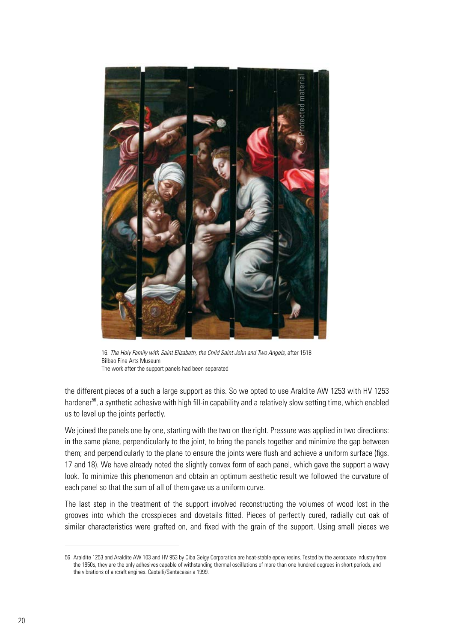

16. The Holy Family with Saint Elizabeth, the Child Saint John and Two Angels, after 1518 Bilbao Fine Arts Museum The work after the support panels had been separated

the different pieces of a such a large support as this. So we opted to use Araldite AW 1253 with HV 1253 hardener<sup>56</sup>, a synthetic adhesive with high fill-in capability and a relatively slow setting time, which enabled us to level up the joints perfectly.

We joined the panels one by one, starting with the two on the right. Pressure was applied in two directions: in the same plane, perpendicularly to the joint, to bring the panels together and minimize the gap between them; and perpendicularly to the plane to ensure the joints were flush and achieve a uniform surface (figs. 17 and 18). We have already noted the slightly convex form of each panel, which gave the support a wavy look. To minimize this phenomenon and obtain an optimum aesthetic result we followed the curvature of each panel so that the sum of all of them gave us a uniform curve.

The last step in the treatment of the support involved reconstructing the volumes of wood lost in the grooves into which the crosspieces and dovetails fitted. Pieces of perfectly cured, radially cut oak of similar characteristics were grafted on, and fixed with the grain of the support. Using small pieces we

<sup>56</sup> Araldite 1253 and Araldite AW 103 and HV 953 by Ciba Geigy Corporation are heat-stable epoxy resins. Tested by the aerospace industry from the 1950s, they are the only adhesives capable of withstanding thermal oscillations of more than one hundred degrees in short periods, and the vibrations of aircraft engines. Castelli/Santacesaria 1999.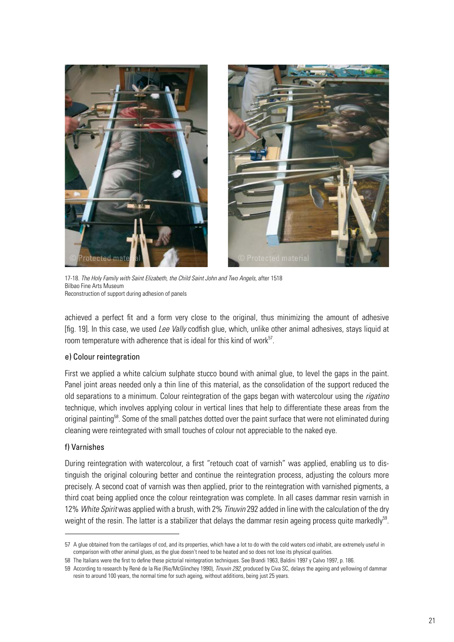

17-18. The Holy Family with Saint Elizabeth, the Child Saint John and Two Angels, after 1518 Bilbao Fine Arts Museum Reconstruction of support during adhesion of panels

achieved a perfect fit and a form very close to the original, thus minimizing the amount of adhesive [fig. 19]. In this case, we used *Lee Vally* codfish glue, which, unlike other animal adhesives, stays liquid at room temperature with adherence that is ideal for this kind of work<sup>57</sup>.

#### e) Colour reintegration

First we applied a white calcium sulphate stucco bound with animal glue, to level the gaps in the paint. Panel joint areas needed only a thin line of this material, as the consolidation of the support reduced the old separations to a minimum. Colour reintegration of the gaps began with watercolour using the *rigatino*  technique, which involves applying colour in vertical lines that help to differentiate these areas from the original painting<sup>58</sup>. Some of the small patches dotted over the paint surface that were not eliminated during cleaning were reintegrated with small touches of colour not appreciable to the naked eye.

### f) Varnishes

During reintegration with watercolour, a first "retouch coat of varnish" was applied, enabling us to distinguish the original colouring better and continue the reintegration process, adjusting the colours more precisely. A second coat of varnish was then applied, prior to the reintegration with varnished pigments, a third coat being applied once the colour reintegration was complete. In all cases dammar resin varnish in 12% *White Spirit* was applied with a brush, with 2% *Tinuvin* 292 added in line with the calculation of the dry weight of the resin. The latter is a stabilizer that delays the dammar resin ageing process quite markedly<sup>59</sup>.

<sup>57</sup> A glue obtained from the cartilages of cod, and its properties, which have a lot to do with the cold waters cod inhabit, are extremely useful in comparison with other animal glues, as the glue doesn't need to be heated and so does not lose its physical qualities.

<sup>58</sup> The Italians were the first to define these pictorial reintegration techniques. See Brandi 1963, Baldini 1997 y Calvo 1997, p. 186.

<sup>59</sup> According to research by René de la Rie (Rie/McGlinchey 1990), *Tinuvin 292*, produced by Civa SC, delays the ageing and yellowing of dammar resin to around 100 years, the normal time for such ageing, without additions, being just 25 years.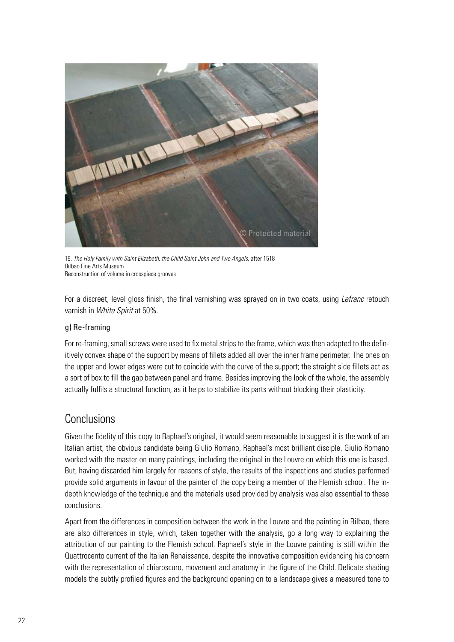

19. The Holy Family with Saint Elizabeth, the Child Saint John and Two Angels, after 1518 Bilbao Fine Arts Museum Reconstruction of volume in crosspiece grooves

For a discreet, level gloss finish, the final varnishing was sprayed on in two coats, using *Lefranc* retouch varnish in *White Spirit* at 50%.

# g) Re-framing

For re-framing, small screws were used to fix metal strips to the frame, which was then adapted to the definitively convex shape of the support by means of fillets added all over the inner frame perimeter. The ones on the upper and lower edges were cut to coincide with the curve of the support; the straight side fillets act as a sort of box to fill the gap between panel and frame. Besides improving the look of the whole, the assembly actually fulfils a structural function, as it helps to stabilize its parts without blocking their plasticity.

# **Conclusions**

Given the fidelity of this copy to Raphael's original, it would seem reasonable to suggest it is the work of an Italian artist, the obvious candidate being Giulio Romano, Raphael's most brilliant disciple. Giulio Romano worked with the master on many paintings, including the original in the Louvre on which this one is based. But, having discarded him largely for reasons of style, the results of the inspections and studies performed provide solid arguments in favour of the painter of the copy being a member of the Flemish school. The indepth knowledge of the technique and the materials used provided by analysis was also essential to these conclusions.

Apart from the differences in composition between the work in the Louvre and the painting in Bilbao, there are also differences in style, which, taken together with the analysis, go a long way to explaining the attribution of our painting to the Flemish school. Raphael's style in the Louvre painting is still within the Quattrocento current of the Italian Renaissance, despite the innovative composition evidencing his concern with the representation of chiaroscuro, movement and anatomy in the figure of the Child. Delicate shading models the subtly profiled figures and the background opening on to a landscape gives a measured tone to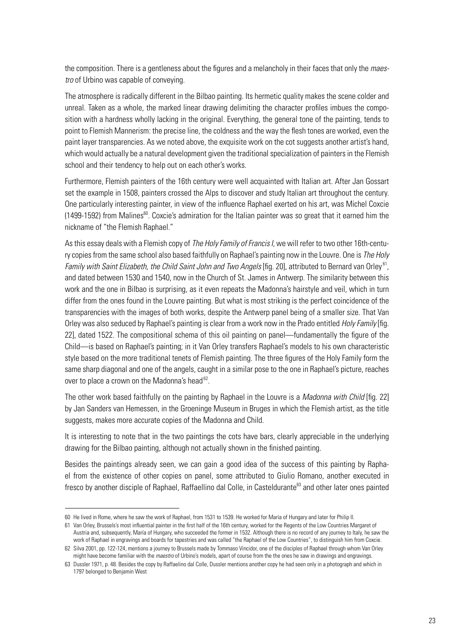the composition. There is a gentleness about the figures and a melancholy in their faces that only the *maestro* of Urbino was capable of conveying.

The atmosphere is radically different in the Bilbao painting. Its hermetic quality makes the scene colder and unreal. Taken as a whole, the marked linear drawing delimiting the character profiles imbues the composition with a hardness wholly lacking in the original. Everything, the general tone of the painting, tends to point to Flemish Mannerism: the precise line, the coldness and the way the flesh tones are worked, even the paint layer transparencies. As we noted above, the exquisite work on the cot suggests another artist's hand, which would actually be a natural development given the traditional specialization of painters in the Flemish school and their tendency to help out on each other's works.

Furthermore, Flemish painters of the 16th century were well acquainted with Italian art. After Jan Gossart set the example in 1508, painters crossed the Alps to discover and study Italian art throughout the century. One particularly interesting painter, in view of the influence Raphael exerted on his art, was Michel Coxcie (1499-1592) from Malines<sup>60</sup>. Coxcie's admiration for the Italian painter was so great that it earned him the nickname of "the Flemish Raphael."

As this essay deals with a Flemish copy of *The Holy Family of Francis I*, we will refer to two other 16th-century copies from the same school also based faithfully on Raphael's painting now in the Louvre. One is *The Holy Family with Saint Elizabeth, the Child Saint John and Two Angels* [fig. 20], attributed to Bernard van Orley<sup>61</sup>, and dated between 1530 and 1540, now in the Church of St. James in Antwerp. The similarity between this work and the one in Bilbao is surprising, as it even repeats the Madonna's hairstyle and veil, which in turn differ from the ones found in the Louvre painting. But what is most striking is the perfect coincidence of the transparencies with the images of both works, despite the Antwerp panel being of a smaller size. That Van Orley was also seduced by Raphael's painting is clear from a work now in the Prado entitled *Holy Family* [fig. 22], dated 1522. The compositional schema of this oil painting on panel—fundamentally the figure of the Child—is based on Raphael's painting; in it Van Orley transfers Raphael's models to his own characteristic style based on the more traditional tenets of Flemish painting. The three figures of the Holy Family form the same sharp diagonal and one of the angels, caught in a similar pose to the one in Raphael's picture, reaches over to place a crown on the Madonna's head $62$ .

The other work based faithfully on the painting by Raphael in the Louvre is a *Madonna with Child* [fig. 22] by Jan Sanders van Hemessen, in the Groeninge Museum in Bruges in which the Flemish artist, as the title suggests, makes more accurate copies of the Madonna and Child.

It is interesting to note that in the two paintings the cots have bars, clearly appreciable in the underlying drawing for the Bilbao painting, although not actually shown in the finished painting.

Besides the paintings already seen, we can gain a good idea of the success of this painting by Raphael from the existence of other copies on panel, some attributed to Giulio Romano, another executed in fresco by another disciple of Raphael, Raffaellino dal Colle, in Casteldurante<sup>63</sup> and other later ones painted

<sup>60</sup> He lived in Rome, where he saw the work of Raphael, from 1531 to 1539. He worked for María of Hungary and later for Philip II.

<sup>61</sup> Van Orley, Brussels's most influential painter in the first half of the 16th century, worked for the Regents of the Low Countries Margaret of Austria and, subsequently, María of Hungary, who succeeded the former in 1532. Although there is no record of any journey to Italy, he saw the work of Raphael in engravings and boards for tapestries and was called "the Raphael of the Low Countries", to distinguish him from Coxcie. 62 Silva 2001, pp. 122-124, mentions a journey to Brussels made by Tommaso Vincidor, one of the disciples of Raphael through whom Van Orley

might have become familiar with the *maestro* of Urbino's models, apart of course from the the ones he saw in drawings and engravings. 63 Dussler 1971, p. 48. Besides the copy by Raffaelino dal Colle, Dussler mentions another copy he had seen only in a photograph and which in

<sup>1797</sup> belonged to Benjamin West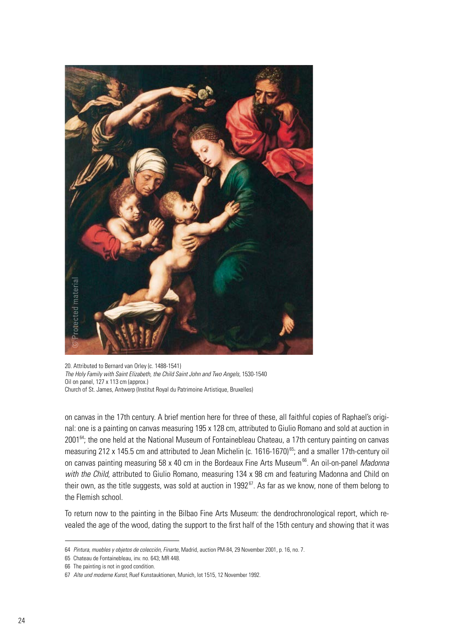

20. Attributed to Bernard van Orley (c. 1488-1541) *The Holy Family with Saint Elizabeth, the Child Saint John and Two Angels,* 1530-1540 Oil on panel, 127 x 113 cm (approx.) Church of St. James, Antwerp (Institut Royal du Patrimoine Artistique, Bruxelles)

on canvas in the 17th century. A brief mention here for three of these, all faithful copies of Raphael's original: one is a painting on canvas measuring 195 x 128 cm, attributed to Giulio Romano and sold at auction in 2001<sup>64</sup>; the one held at the National Museum of Fontainebleau Chateau, a 17th century painting on canvas measuring 212 x 145.5 cm and attributed to Jean Michelin (c. 1616-1670)<sup>65</sup>; and a smaller 17th-century oil on canvas painting measuring 58 x 40 cm in the Bordeaux Fine Arts Museum<sup>66</sup>. An oil-on-panel *Madonna with the Child*, attributed to Giulio Romano, measuring 134 x 98 cm and featuring Madonna and Child on their own, as the title suggests, was sold at auction in 1992 $^{67}$ . As far as we know, none of them belong to the Flemish school.

To return now to the painting in the Bilbao Fine Arts Museum: the dendrochronological report, which revealed the age of the wood, dating the support to the first half of the 15th century and showing that it was

<sup>64</sup> *Pintura, muebles y objetos de colección, Finarte*, Madrid, auction PM-84, 29 November 2001, p. 16, no. 7.

<sup>65</sup> Chateau de Fontainebleau, inv. no. 643; MR 448.

<sup>66</sup> The painting is not in good condition.

<sup>67</sup> *Alte und moderne Kunst*, Ruef Kunstauktionen, Munich, lot 1515, 12 November 1992.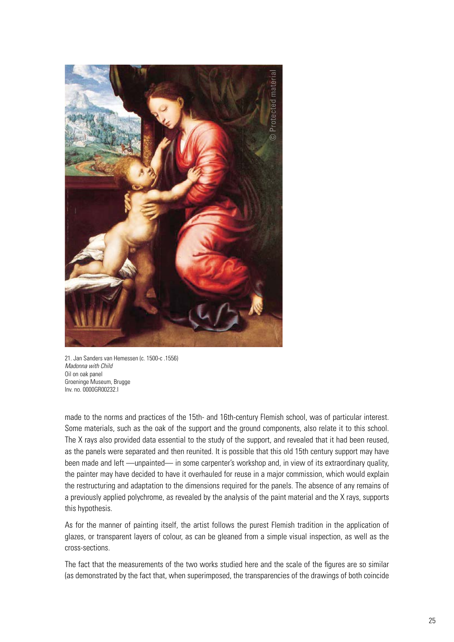

21. Jan Sanders van Hemessen (c. 1500-c .1556) *Madonna with Child* Oil on oak panel Groeninge Museum, Brugge Inv. no. 0000GR00232.I

made to the norms and practices of the 15th- and 16th-century Flemish school, was of particular interest. Some materials, such as the oak of the support and the ground components, also relate it to this school. The X rays also provided data essential to the study of the support, and revealed that it had been reused, as the panels were separated and then reunited. It is possible that this old 15th century support may have been made and left —unpainted— in some carpenter's workshop and, in view of its extraordinary quality, the painter may have decided to have it overhauled for reuse in a major commission, which would explain the restructuring and adaptation to the dimensions required for the panels. The absence of any remains of a previously applied polychrome, as revealed by the analysis of the paint material and the X rays, supports this hypothesis.

As for the manner of painting itself, the artist follows the purest Flemish tradition in the application of glazes, or transparent layers of colour, as can be gleaned from a simple visual inspection, as well as the cross-sections.

The fact that the measurements of the two works studied here and the scale of the figures are so similar (as demonstrated by the fact that, when superimposed, the transparencies of the drawings of both coincide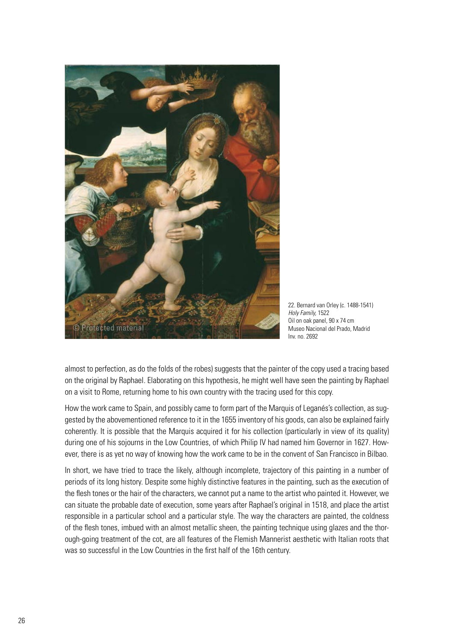

22. Bernard van Orley (c. 1488-1541) *Holy Family,* 1522 Oil on oak panel, 90 x 74 cm Museo Nacional del Prado, Madrid Inv. no. 2692

almost to perfection, as do the folds of the robes) suggests that the painter of the copy used a tracing based on the original by Raphael. Elaborating on this hypothesis, he might well have seen the painting by Raphael on a visit to Rome, returning home to his own country with the tracing used for this copy.

How the work came to Spain, and possibly came to form part of the Marquis of Leganés's collection, as suggested by the abovementioned reference to it in the 1655 inventory of his goods, can also be explained fairly coherently. It is possible that the Marquis acquired it for his collection (particularly in view of its quality) during one of his sojourns in the Low Countries, of which Philip IV had named him Governor in 1627. However, there is as yet no way of knowing how the work came to be in the convent of San Francisco in Bilbao.

In short, we have tried to trace the likely, although incomplete, trajectory of this painting in a number of periods of its long history. Despite some highly distinctive features in the painting, such as the execution of the flesh tones or the hair of the characters, we cannot put a name to the artist who painted it. However, we can situate the probable date of execution, some years after Raphael's original in 1518, and place the artist responsible in a particular school and a particular style. The way the characters are painted, the coldness of the flesh tones, imbued with an almost metallic sheen, the painting technique using glazes and the thorough-going treatment of the cot, are all features of the Flemish Mannerist aesthetic with Italian roots that was so successful in the Low Countries in the first half of the 16th century.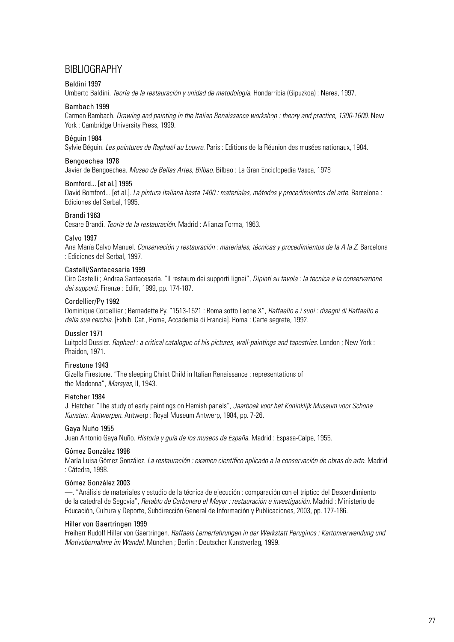# BIBLIOGRAPHY

#### Baldini 1997

Umberto Baldini. *Teoría de la restauración y unidad de metodología*. Hondarribia (Gipuzkoa) : Nerea, 1997.

#### Bambach 1999

Carmen Bambach. *Drawing and painting in the Italian Renaissance workshop : theory and practice, 1300-1600.* New York : Cambridge University Press, 1999.

#### Béguin 1984

Sylvie Béguin. *Les peintures de Raphaël au Louvre.* Paris : Editions de la Réunion des musées nationaux, 1984.

#### Bengoechea 1978

Javier de Bengoechea. *Museo de Bellas Artes, Bilbao*. Bilbao : La Gran Enciclopedia Vasca, 1978

#### Bomford... [et al.] 1995

David Bomford... [et al.]. *La pintura italiana hasta 1400 : materiales, métodos y procedimientos del arte*. Barcelona : Ediciones del Serbal, 1995.

#### Brandi 1963

Cesare Brandi. *Teoría de la restauración*. Madrid : Alianza Forma, 1963.

#### Calvo 1997

Ana María Calvo Manuel. *Conservación y restauración : materiales, técnicas y procedimientos de la A la Z*. Barcelona : Ediciones del Serbal, 1997.

#### Castelli/Santacesaria 1999

Ciro Castelli ; Andrea Santacesaria. "Il restauro dei supporti lignei", *Dipinti su tavola : la tecnica e la conservazione dei supporti.* Firenze : Edifir, 1999, pp. 174-187.

#### Cordellier/Py 1992

Dominique Cordellier ; Bernadette Py. "1513-1521 : Roma sotto Leone X", *Raffaello e i suoi : disegni di Raffaello e della sua cerchia*. [Exhib. Cat., Rome, Accademia di Francia]. Roma : Carte segrete, 1992.

#### Dussler 1971

Luitpold Dussler. *Raphael : a critical catalogue of his pictures, wall-paintings and tapestries*. London ; New York : Phaidon, 1971.

#### Firestone 1943

Gizella Firestone. "The sleeping Christ Child in Italian Renaissance : representations of the Madonna", *Marsyas*, II, 1943.

#### Fletcher 1984

J. Fletcher. "The study of early paintings on Flemish panels", *Jaarboek voor het Koninklijk Museum voor Schone Kunsten. Antwerpen.* Antwerp : Royal Museum Antwerp, 1984, pp. 7-26.

#### Gaya Nuño 1955

Juan Antonio Gaya Nuño. *Historia y guía de los museos de España*. Madrid : Espasa-Calpe, 1955.

#### Gómez González 1998

María Luisa Gómez González. *La restauración : examen científico aplicado a la conservación de obras de arte*. Madrid : Cátedra, 1998.

#### Gómez González 2003

—. "Análisis de materiales y estudio de la técnica de ejecución : comparación con el tríptico del Descendimiento de la catedral de Segovia", *Retablo de Carbonero el Mayor : restauración e investigación*. Madrid : Ministerio de Educación, Cultura y Deporte, Subdirección General de Información y Publicaciones, 2003, pp. 177-186.

#### Hiller von Gaertringen 1999

Freiherr Rudolf Hiller von Gaertringen. *Raffaels Lernerfahrungen in der Werkstatt Peruginos : Kartonverwendung und Motivübernahme im Wandel.* München ; Berlin : Deutscher Kunstverlag, 1999.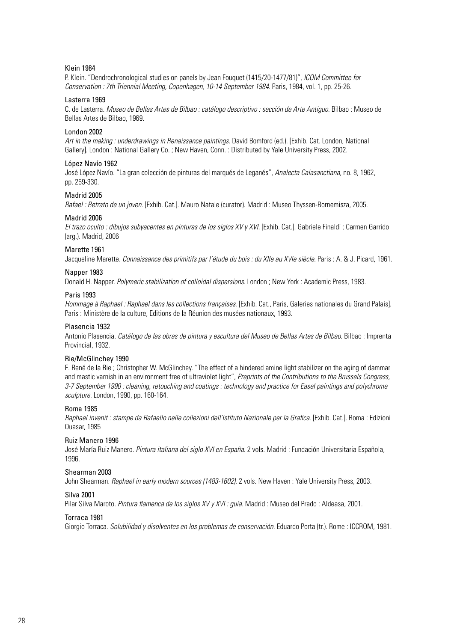#### Klein 1984

P. Klein. "Dendrochronological studies on panels by Jean Fouquet (1415/20-1477/81)", *ICOM Committee for Conservation : 7th Triennial Meeting, Copenhagen, 10-14 September 1984.* Paris, 1984, vol. 1, pp. 25-26.

#### Lasterra 1969

C. de Lasterra. *Museo de Bellas Artes de Bilbao : catálogo descriptivo : sección de Arte Antiguo*. Bilbao : Museo de Bellas Artes de Bilbao, 1969.

#### London 2002

*Art in the making : underdrawings in Renaissance paintings*. David Bomford (ed.). [Exhib. Cat. London, National Gallery]. London : National Gallery Co. ; New Haven, Conn. : Distributed by Yale University Press, 2002.

#### López Navío 1962

José López Navío. "La gran colección de pinturas del marqués de Leganés", *Analecta Calasanctiana*, no. 8, 1962, pp. 259-330.

#### Madrid 2005

*Rafael : Retrato de un joven*. [Exhib. Cat.]. Mauro Natale (curator). Madrid : Museo Thyssen-Bornemisza, 2005.

#### Madrid 2006

*El trazo oculto : dibujos subyacentes en pinturas de los siglos XV y XVI*. [Exhib. Cat.]. Gabriele Finaldi ; Carmen Garrido (arg.). Madrid, 2006

#### Marette 1961

Jacqueline Marette. *Connaissance des primitifs par l'étude du bois : du XIIe au XVIe siècle.* Paris : A. & J. Picard, 1961.

#### Napper 1983

Donald H. Napper. *Polymeric stabilization of colloidal dispersions*. London ; New York : Academic Press, 1983.

#### Paris 1993

*Hommage à Raphael : Raphael dans les collections françaises*. [Exhib. Cat., Paris, Galeries nationales du Grand Palais]. Paris : Ministère de la culture, Editions de la Réunion des musées nationaux, 1993.

#### Plasencia 1932

Antonio Plasencia. *Catálogo de las obras de pintura y escultura del Museo de Bellas Artes de Bilbao*. Bilbao : Imprenta Provincial, 1932.

#### Rie/McGlinchey 1990

E. René de la Rie ; Christopher W. McGlinchey. "The effect of a hindered amine light stabilizer on the aging of dammar and mastic varnish in an environment free of ultraviolet light", *Preprints of the Contributions to the Brussels Congress, 3-7 September 1990 : cleaning, retouching and coatings : technology and practice for Easel paintings and polychrome sculpture.* London, 1990, pp. 160-164.

#### Roma 1985

*Raphael invenit : stampe da Rafaello nelle collezioni dell'Istituto Nazionale per la Grafica*. [Exhib. Cat.]. Roma : Edizioni Quasar, 1985

#### Ruiz Manero 1996

José María Ruiz Manero. *Pintura italiana del siglo XVI en España*. 2 vols. Madrid : Fundación Universitaria Española, 1996.

#### Shearman 2003

John Shearman*. Raphael in early modern sources (1483-1602).* 2 vols. New Haven : Yale University Press, 2003.

#### Silva 2001

Pilar Silva Maroto. *Pintura flamenca de los siglos XV y XVI : guía*. Madrid : Museo del Prado : Aldeasa, 2001.

#### Torraca 1981

Giorgio Torraca. *Solubilidad y disolventes en los problemas de conservación*. Eduardo Porta (tr.). Rome : ICCROM, 1981.